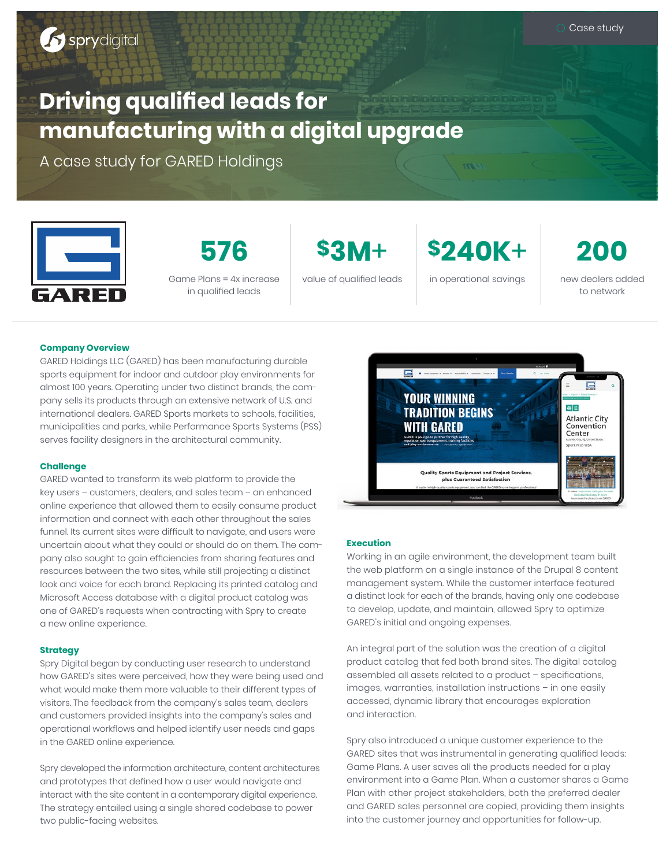# III TEGHEGGI in qualified leads **Driving qualified leads for manufacturing with a digital upgrade**

A case study for GARED Holdings



Game Plans = 4x increase in qualified leads

**576 \$3M**+ **\$240K**+ **200**

value of qualified leads in operational savings new dealers added

to network

# **Company Overview**

GARED Holdings LLC (GARED) has been manufacturing durable sports equipment for indoor and outdoor play environments for almost 100 years. Operating under two distinct brands, the company sells its products through an extensive network of U.S. and international dealers. GARED Sports markets to schools, facilities, municipalities and parks, while Performance Sports Systems (PSS) serves facility designers in the architectural community.

### **Challenge**

GARED wanted to transform its web platform to provide the key users – customers, dealers, and sales team – an enhanced online experience that allowed them to easily consume product information and connect with each other throughout the sales funnel. Its current sites were difficult to navigate, and users were uncertain about what they could or should do on them. The company also sought to gain efficiencies from sharing features and resources between the two sites, while still projecting a distinct look and voice for each brand. Replacing its printed catalog and Microsoft Access database with a digital product catalog was one of GARED's requests when contracting with Spry to create a new online experience.

## **Strategy**

Spry Digital began by conducting user research to understand how GARED's sites were perceived, how they were being used and what would make them more valuable to their different types of visitors. The feedback from the company's sales team, dealers and customers provided insights into the company's sales and operational workflows and helped identify user needs and gaps in the GARED online experience.

Spry developed the information architecture, content architectures and prototypes that defined how a user would navigate and interact with the site content in a contemporary digital experience. The strategy entailed using a single shared codebase to power two public-facing websites.



### **Execution**

Working in an agile environment, the development team built the web platform on a single instance of the Drupal 8 content management system. While the customer interface featured a distinct look for each of the brands, having only one codebase to develop, update, and maintain, allowed Spry to optimize GARED's initial and ongoing expenses.

An integral part of the solution was the creation of a digital product catalog that fed both brand sites. The digital catalog assembled all assets related to a product – specifications, images, warranties, installation instructions – in one easily accessed, dynamic library that encourages exploration and interaction.

Spry also introduced a unique customer experience to the GARED sites that was instrumental in generating qualified leads: Game Plans. A user saves all the products needed for a play environment into a Game Plan. When a customer shares a Game Plan with other project stakeholders, both the preferred dealer and GARED sales personnel are copied, providing them insights into the customer journey and opportunities for follow-up.